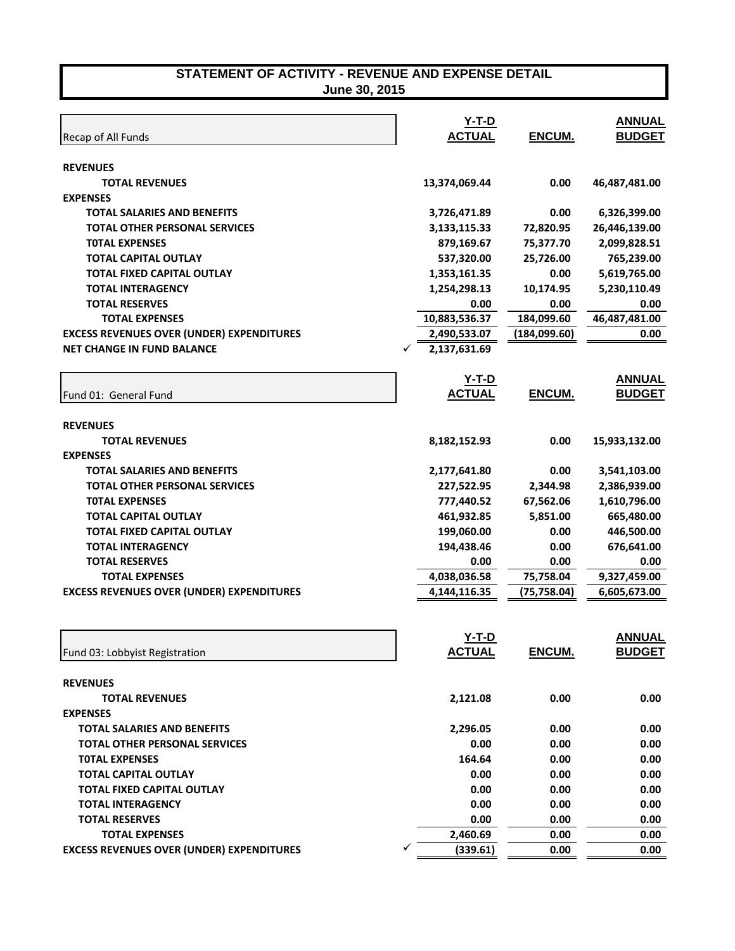| Recap of All Funds                               | <u>Y-T-D</u><br><b>ACTUAL</b> | ENCUM.       | <b>ANNUAL</b><br><b>BUDGET</b> |
|--------------------------------------------------|-------------------------------|--------------|--------------------------------|
| <b>REVENUES</b>                                  |                               |              |                                |
| <b>TOTAL REVENUES</b>                            | 13,374,069.44                 | 0.00         | 46,487,481.00                  |
| <b>EXPENSES</b>                                  |                               |              |                                |
| <b>TOTAL SALARIES AND BENEFITS</b>               | 3,726,471.89                  | 0.00         | 6,326,399.00                   |
| <b>TOTAL OTHER PERSONAL SERVICES</b>             | 3,133,115.33                  | 72,820.95    | 26,446,139.00                  |
| <b>TOTAL EXPENSES</b>                            | 879,169.67                    | 75,377.70    | 2,099,828.51                   |
| <b>TOTAL CAPITAL OUTLAY</b>                      | 537,320.00                    | 25,726.00    | 765,239.00                     |
| TOTAL FIXED CAPITAL OUTLAY                       | 1,353,161.35                  | 0.00         | 5,619,765.00                   |
| <b>TOTAL INTERAGENCY</b>                         | 1,254,298.13                  | 10,174.95    | 5,230,110.49                   |
| <b>TOTAL RESERVES</b>                            | 0.00                          | 0.00         | 0.00                           |
| <b>TOTAL EXPENSES</b>                            | 10,883,536.37                 | 184,099.60   | 46,487,481.00                  |
| <b>EXCESS REVENUES OVER (UNDER) EXPENDITURES</b> | 2,490,533.07                  | (184,099.60) | 0.00                           |
| <b>NET CHANGE IN FUND BALANCE</b>                | 2,137,631.69                  |              |                                |
|                                                  |                               |              |                                |
|                                                  | $Y-T-D$                       |              | <b>ANNUAL</b><br><b>BUDGET</b> |
| Fund 01: General Fund                            | <b>ACTUAL</b>                 | ENCUM.       |                                |
| <b>REVENUES</b>                                  |                               |              |                                |
| <b>TOTAL REVENUES</b>                            | 8,182,152.93                  | 0.00         | 15,933,132.00                  |
| <b>EXPENSES</b>                                  |                               |              |                                |
| <b>TOTAL SALARIES AND BENEFITS</b>               | 2,177,641.80                  | 0.00         | 3,541,103.00                   |
| <b>TOTAL OTHER PERSONAL SERVICES</b>             | 227,522.95                    | 2,344.98     | 2,386,939.00                   |
| <b>TOTAL EXPENSES</b>                            | 777,440.52                    | 67,562.06    | 1,610,796.00                   |
| <b>TOTAL CAPITAL OUTLAY</b>                      | 461,932.85                    | 5,851.00     | 665,480.00                     |
| TOTAL FIXED CAPITAL OUTLAY                       | 199,060.00                    | 0.00         | 446,500.00                     |
| <b>TOTAL INTERAGENCY</b>                         | 194,438.46                    | 0.00         | 676,641.00                     |
| <b>TOTAL RESERVES</b>                            | 0.00                          | 0.00         | 0.00                           |
| <b>TOTAL EXPENSES</b>                            | 4,038,036.58                  | 75,758.04    | 9,327,459.00                   |
| <b>EXCESS REVENUES OVER (UNDER) EXPENDITURES</b> | 4,144,116.35                  | (75, 758.04) | 6,605,673.00                   |
|                                                  |                               |              |                                |
|                                                  |                               |              |                                |
|                                                  | $Y-T-D$                       |              | <b>ANNUAL</b>                  |
| Fund 03: Lobbyist Registration                   | <b>ACTUAL</b>                 | ENCUM.       | <b>BUDGET</b>                  |
| <b>REVENUES</b>                                  |                               |              |                                |
| <b>TOTAL REVENUES</b>                            | 2,121.08                      | 0.00         | 0.00                           |
| <b>EXPENSES</b>                                  |                               |              |                                |
| <b>TOTAL SALARIES AND BENEFITS</b>               | 2,296.05                      | 0.00         | 0.00                           |
| <b>TOTAL OTHER PERSONAL SERVICES</b>             | 0.00                          | 0.00         | 0.00                           |
| <b>TOTAL EXPENSES</b>                            | 164.64                        | 0.00         | 0.00                           |
| <b>TOTAL CAPITAL OUTLAY</b>                      | 0.00                          | 0.00         | 0.00                           |
| <b>TOTAL FIXED CAPITAL OUTLAY</b>                | 0.00                          | 0.00         | 0.00                           |
| <b>TOTAL INTERAGENCY</b>                         | 0.00                          | 0.00         | 0.00                           |
| <b>TOTAL RESERVES</b>                            | 0.00                          | 0.00         | 0.00                           |
| <b>TOTAL EXPENSES</b>                            | 2,460.69                      | 0.00         | 0.00                           |
|                                                  |                               |              |                                |
| <b>EXCESS REVENUES OVER (UNDER) EXPENDITURES</b> | (339.61)                      | 0.00         | 0.00                           |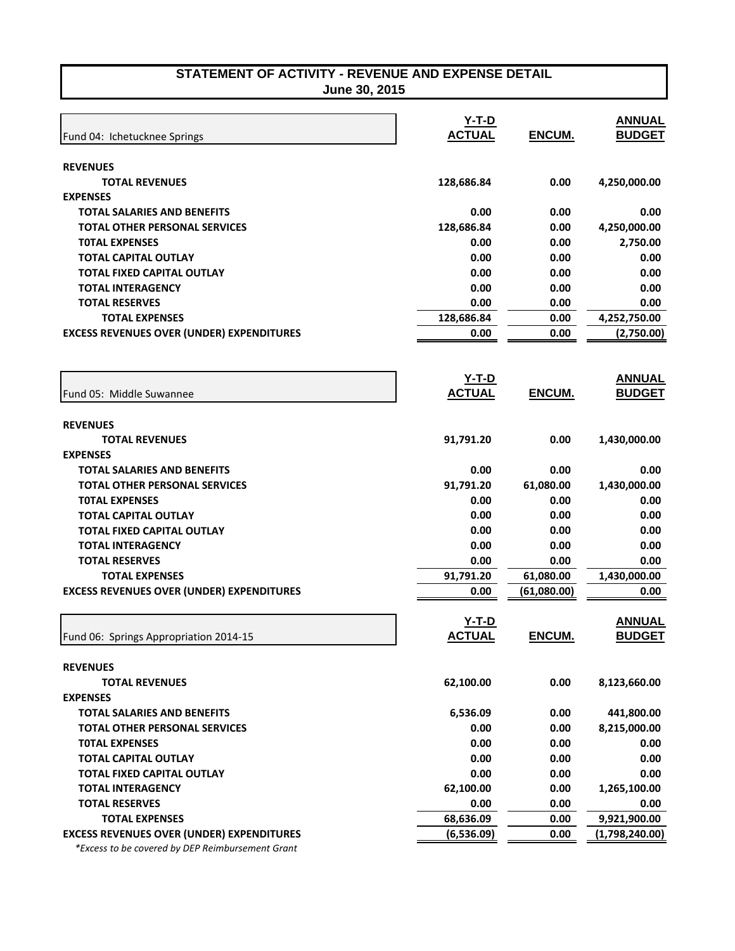**June 30, 2015** 

| <b>REVENUES</b><br>128,686.84<br>0.00<br>4,250,000.00<br><b>TOTAL REVENUES</b><br><b>EXPENSES</b><br>0.00<br>0.00<br>0.00<br><b>TOTAL SALARIES AND BENEFITS</b><br><b>TOTAL OTHER PERSONAL SERVICES</b><br>128,686.84<br>0.00<br>4,250,000.00<br><b>TOTAL EXPENSES</b><br>0.00<br>0.00<br>2,750.00<br><b>TOTAL CAPITAL OUTLAY</b><br>0.00<br>0.00<br>0.00<br><b>TOTAL FIXED CAPITAL OUTLAY</b><br>0.00<br>0.00<br>0.00<br><b>TOTAL INTERAGENCY</b><br>0.00<br>0.00<br>0.00<br><b>TOTAL RESERVES</b><br>0.00<br>0.00<br>0.00<br>128,686.84<br>4,252,750.00<br><b>TOTAL EXPENSES</b><br>0.00<br><b>EXCESS REVENUES OVER (UNDER) EXPENDITURES</b><br>0.00<br>0.00<br>(2,750.00)<br>$Y-T-D$<br><b>ACTUAL</b><br>ENCUM.<br>Fund 05: Middle Suwannee<br><b>REVENUES</b><br>91,791.20<br>0.00<br>1,430,000.00<br><b>TOTAL REVENUES</b><br><b>EXPENSES</b><br>0.00<br>0.00<br>0.00<br><b>TOTAL SALARIES AND BENEFITS</b><br><b>TOTAL OTHER PERSONAL SERVICES</b><br>91,791.20<br>61,080.00<br>1,430,000.00<br>0.00<br><b>TOTAL EXPENSES</b><br>0.00<br>0.00<br>0.00<br><b>TOTAL CAPITAL OUTLAY</b><br>0.00<br>0.00<br><b>TOTAL FIXED CAPITAL OUTLAY</b><br>0.00<br>0.00<br>0.00<br>0.00<br>0.00<br>0.00<br><b>TOTAL INTERAGENCY</b><br><b>TOTAL RESERVES</b><br>0.00<br>0.00<br>0.00<br>91,791.20<br>61,080.00<br>1,430,000.00<br><b>TOTAL EXPENSES</b><br><b>EXCESS REVENUES OVER (UNDER) EXPENDITURES</b><br>0.00<br>(61,080.00)<br>0.00<br><b>ANNUAL</b><br>Y-T-D<br><b>ACTUAL</b><br><b>BUDGET</b><br>ENCUM.<br>Fund 06: Springs Appropriation 2014-15<br><b>REVENUES</b><br>62,100.00<br>0.00<br>8,123,660.00<br><b>TOTAL REVENUES</b><br><b>EXPENSES</b><br>6,536.09<br>441,800.00<br><b>TOTAL SALARIES AND BENEFITS</b><br>0.00<br>0.00<br>8,215,000.00<br><b>TOTAL OTHER PERSONAL SERVICES</b><br>0.00<br>0.00<br>0.00<br><b>TOTAL EXPENSES</b><br>0.00<br>0.00<br>0.00<br><b>TOTAL CAPITAL OUTLAY</b><br>0.00<br>0.00<br>0.00<br><b>TOTAL FIXED CAPITAL OUTLAY</b><br>0.00<br>62,100.00<br>0.00<br><b>TOTAL INTERAGENCY</b><br>1,265,100.00<br>0.00<br><b>TOTAL RESERVES</b><br>0.00<br>0.00<br>68,636.09<br>0.00<br>9,921,900.00<br><b>TOTAL EXPENSES</b><br><b>EXCESS REVENUES OVER (UNDER) EXPENDITURES</b><br>(6,536.09)<br>0.00<br>(1,798,240.00) | Fund 04: Ichetucknee Springs | $Y-T-D$<br><b>ACTUAL</b> | ENCUM. | <b>ANNUAL</b><br><b>BUDGET</b> |
|---------------------------------------------------------------------------------------------------------------------------------------------------------------------------------------------------------------------------------------------------------------------------------------------------------------------------------------------------------------------------------------------------------------------------------------------------------------------------------------------------------------------------------------------------------------------------------------------------------------------------------------------------------------------------------------------------------------------------------------------------------------------------------------------------------------------------------------------------------------------------------------------------------------------------------------------------------------------------------------------------------------------------------------------------------------------------------------------------------------------------------------------------------------------------------------------------------------------------------------------------------------------------------------------------------------------------------------------------------------------------------------------------------------------------------------------------------------------------------------------------------------------------------------------------------------------------------------------------------------------------------------------------------------------------------------------------------------------------------------------------------------------------------------------------------------------------------------------------------------------------------------------------------------------------------------------------------------------------------------------------------------------------------------------------------------------------------------------------------------------------------------------------------------------------------------------------------------------------------------------------------|------------------------------|--------------------------|--------|--------------------------------|
|                                                                                                                                                                                                                                                                                                                                                                                                                                                                                                                                                                                                                                                                                                                                                                                                                                                                                                                                                                                                                                                                                                                                                                                                                                                                                                                                                                                                                                                                                                                                                                                                                                                                                                                                                                                                                                                                                                                                                                                                                                                                                                                                                                                                                                                         |                              |                          |        |                                |
|                                                                                                                                                                                                                                                                                                                                                                                                                                                                                                                                                                                                                                                                                                                                                                                                                                                                                                                                                                                                                                                                                                                                                                                                                                                                                                                                                                                                                                                                                                                                                                                                                                                                                                                                                                                                                                                                                                                                                                                                                                                                                                                                                                                                                                                         |                              |                          |        |                                |
|                                                                                                                                                                                                                                                                                                                                                                                                                                                                                                                                                                                                                                                                                                                                                                                                                                                                                                                                                                                                                                                                                                                                                                                                                                                                                                                                                                                                                                                                                                                                                                                                                                                                                                                                                                                                                                                                                                                                                                                                                                                                                                                                                                                                                                                         |                              |                          |        |                                |
|                                                                                                                                                                                                                                                                                                                                                                                                                                                                                                                                                                                                                                                                                                                                                                                                                                                                                                                                                                                                                                                                                                                                                                                                                                                                                                                                                                                                                                                                                                                                                                                                                                                                                                                                                                                                                                                                                                                                                                                                                                                                                                                                                                                                                                                         |                              |                          |        |                                |
|                                                                                                                                                                                                                                                                                                                                                                                                                                                                                                                                                                                                                                                                                                                                                                                                                                                                                                                                                                                                                                                                                                                                                                                                                                                                                                                                                                                                                                                                                                                                                                                                                                                                                                                                                                                                                                                                                                                                                                                                                                                                                                                                                                                                                                                         |                              |                          |        |                                |
|                                                                                                                                                                                                                                                                                                                                                                                                                                                                                                                                                                                                                                                                                                                                                                                                                                                                                                                                                                                                                                                                                                                                                                                                                                                                                                                                                                                                                                                                                                                                                                                                                                                                                                                                                                                                                                                                                                                                                                                                                                                                                                                                                                                                                                                         |                              |                          |        |                                |
|                                                                                                                                                                                                                                                                                                                                                                                                                                                                                                                                                                                                                                                                                                                                                                                                                                                                                                                                                                                                                                                                                                                                                                                                                                                                                                                                                                                                                                                                                                                                                                                                                                                                                                                                                                                                                                                                                                                                                                                                                                                                                                                                                                                                                                                         |                              |                          |        |                                |
|                                                                                                                                                                                                                                                                                                                                                                                                                                                                                                                                                                                                                                                                                                                                                                                                                                                                                                                                                                                                                                                                                                                                                                                                                                                                                                                                                                                                                                                                                                                                                                                                                                                                                                                                                                                                                                                                                                                                                                                                                                                                                                                                                                                                                                                         |                              |                          |        |                                |
|                                                                                                                                                                                                                                                                                                                                                                                                                                                                                                                                                                                                                                                                                                                                                                                                                                                                                                                                                                                                                                                                                                                                                                                                                                                                                                                                                                                                                                                                                                                                                                                                                                                                                                                                                                                                                                                                                                                                                                                                                                                                                                                                                                                                                                                         |                              |                          |        |                                |
|                                                                                                                                                                                                                                                                                                                                                                                                                                                                                                                                                                                                                                                                                                                                                                                                                                                                                                                                                                                                                                                                                                                                                                                                                                                                                                                                                                                                                                                                                                                                                                                                                                                                                                                                                                                                                                                                                                                                                                                                                                                                                                                                                                                                                                                         |                              |                          |        |                                |
|                                                                                                                                                                                                                                                                                                                                                                                                                                                                                                                                                                                                                                                                                                                                                                                                                                                                                                                                                                                                                                                                                                                                                                                                                                                                                                                                                                                                                                                                                                                                                                                                                                                                                                                                                                                                                                                                                                                                                                                                                                                                                                                                                                                                                                                         |                              |                          |        |                                |
|                                                                                                                                                                                                                                                                                                                                                                                                                                                                                                                                                                                                                                                                                                                                                                                                                                                                                                                                                                                                                                                                                                                                                                                                                                                                                                                                                                                                                                                                                                                                                                                                                                                                                                                                                                                                                                                                                                                                                                                                                                                                                                                                                                                                                                                         |                              |                          |        |                                |
|                                                                                                                                                                                                                                                                                                                                                                                                                                                                                                                                                                                                                                                                                                                                                                                                                                                                                                                                                                                                                                                                                                                                                                                                                                                                                                                                                                                                                                                                                                                                                                                                                                                                                                                                                                                                                                                                                                                                                                                                                                                                                                                                                                                                                                                         |                              |                          |        | <b>ANNUAL</b>                  |
|                                                                                                                                                                                                                                                                                                                                                                                                                                                                                                                                                                                                                                                                                                                                                                                                                                                                                                                                                                                                                                                                                                                                                                                                                                                                                                                                                                                                                                                                                                                                                                                                                                                                                                                                                                                                                                                                                                                                                                                                                                                                                                                                                                                                                                                         |                              |                          |        | <b>BUDGET</b>                  |
|                                                                                                                                                                                                                                                                                                                                                                                                                                                                                                                                                                                                                                                                                                                                                                                                                                                                                                                                                                                                                                                                                                                                                                                                                                                                                                                                                                                                                                                                                                                                                                                                                                                                                                                                                                                                                                                                                                                                                                                                                                                                                                                                                                                                                                                         |                              |                          |        |                                |
|                                                                                                                                                                                                                                                                                                                                                                                                                                                                                                                                                                                                                                                                                                                                                                                                                                                                                                                                                                                                                                                                                                                                                                                                                                                                                                                                                                                                                                                                                                                                                                                                                                                                                                                                                                                                                                                                                                                                                                                                                                                                                                                                                                                                                                                         |                              |                          |        |                                |
|                                                                                                                                                                                                                                                                                                                                                                                                                                                                                                                                                                                                                                                                                                                                                                                                                                                                                                                                                                                                                                                                                                                                                                                                                                                                                                                                                                                                                                                                                                                                                                                                                                                                                                                                                                                                                                                                                                                                                                                                                                                                                                                                                                                                                                                         |                              |                          |        |                                |
|                                                                                                                                                                                                                                                                                                                                                                                                                                                                                                                                                                                                                                                                                                                                                                                                                                                                                                                                                                                                                                                                                                                                                                                                                                                                                                                                                                                                                                                                                                                                                                                                                                                                                                                                                                                                                                                                                                                                                                                                                                                                                                                                                                                                                                                         |                              |                          |        |                                |
|                                                                                                                                                                                                                                                                                                                                                                                                                                                                                                                                                                                                                                                                                                                                                                                                                                                                                                                                                                                                                                                                                                                                                                                                                                                                                                                                                                                                                                                                                                                                                                                                                                                                                                                                                                                                                                                                                                                                                                                                                                                                                                                                                                                                                                                         |                              |                          |        |                                |
|                                                                                                                                                                                                                                                                                                                                                                                                                                                                                                                                                                                                                                                                                                                                                                                                                                                                                                                                                                                                                                                                                                                                                                                                                                                                                                                                                                                                                                                                                                                                                                                                                                                                                                                                                                                                                                                                                                                                                                                                                                                                                                                                                                                                                                                         |                              |                          |        |                                |
|                                                                                                                                                                                                                                                                                                                                                                                                                                                                                                                                                                                                                                                                                                                                                                                                                                                                                                                                                                                                                                                                                                                                                                                                                                                                                                                                                                                                                                                                                                                                                                                                                                                                                                                                                                                                                                                                                                                                                                                                                                                                                                                                                                                                                                                         |                              |                          |        |                                |
|                                                                                                                                                                                                                                                                                                                                                                                                                                                                                                                                                                                                                                                                                                                                                                                                                                                                                                                                                                                                                                                                                                                                                                                                                                                                                                                                                                                                                                                                                                                                                                                                                                                                                                                                                                                                                                                                                                                                                                                                                                                                                                                                                                                                                                                         |                              |                          |        |                                |
|                                                                                                                                                                                                                                                                                                                                                                                                                                                                                                                                                                                                                                                                                                                                                                                                                                                                                                                                                                                                                                                                                                                                                                                                                                                                                                                                                                                                                                                                                                                                                                                                                                                                                                                                                                                                                                                                                                                                                                                                                                                                                                                                                                                                                                                         |                              |                          |        |                                |
|                                                                                                                                                                                                                                                                                                                                                                                                                                                                                                                                                                                                                                                                                                                                                                                                                                                                                                                                                                                                                                                                                                                                                                                                                                                                                                                                                                                                                                                                                                                                                                                                                                                                                                                                                                                                                                                                                                                                                                                                                                                                                                                                                                                                                                                         |                              |                          |        |                                |
|                                                                                                                                                                                                                                                                                                                                                                                                                                                                                                                                                                                                                                                                                                                                                                                                                                                                                                                                                                                                                                                                                                                                                                                                                                                                                                                                                                                                                                                                                                                                                                                                                                                                                                                                                                                                                                                                                                                                                                                                                                                                                                                                                                                                                                                         |                              |                          |        |                                |
|                                                                                                                                                                                                                                                                                                                                                                                                                                                                                                                                                                                                                                                                                                                                                                                                                                                                                                                                                                                                                                                                                                                                                                                                                                                                                                                                                                                                                                                                                                                                                                                                                                                                                                                                                                                                                                                                                                                                                                                                                                                                                                                                                                                                                                                         |                              |                          |        |                                |
|                                                                                                                                                                                                                                                                                                                                                                                                                                                                                                                                                                                                                                                                                                                                                                                                                                                                                                                                                                                                                                                                                                                                                                                                                                                                                                                                                                                                                                                                                                                                                                                                                                                                                                                                                                                                                                                                                                                                                                                                                                                                                                                                                                                                                                                         |                              |                          |        |                                |
|                                                                                                                                                                                                                                                                                                                                                                                                                                                                                                                                                                                                                                                                                                                                                                                                                                                                                                                                                                                                                                                                                                                                                                                                                                                                                                                                                                                                                                                                                                                                                                                                                                                                                                                                                                                                                                                                                                                                                                                                                                                                                                                                                                                                                                                         |                              |                          |        |                                |
|                                                                                                                                                                                                                                                                                                                                                                                                                                                                                                                                                                                                                                                                                                                                                                                                                                                                                                                                                                                                                                                                                                                                                                                                                                                                                                                                                                                                                                                                                                                                                                                                                                                                                                                                                                                                                                                                                                                                                                                                                                                                                                                                                                                                                                                         |                              |                          |        |                                |
|                                                                                                                                                                                                                                                                                                                                                                                                                                                                                                                                                                                                                                                                                                                                                                                                                                                                                                                                                                                                                                                                                                                                                                                                                                                                                                                                                                                                                                                                                                                                                                                                                                                                                                                                                                                                                                                                                                                                                                                                                                                                                                                                                                                                                                                         |                              |                          |        |                                |
|                                                                                                                                                                                                                                                                                                                                                                                                                                                                                                                                                                                                                                                                                                                                                                                                                                                                                                                                                                                                                                                                                                                                                                                                                                                                                                                                                                                                                                                                                                                                                                                                                                                                                                                                                                                                                                                                                                                                                                                                                                                                                                                                                                                                                                                         |                              |                          |        |                                |
|                                                                                                                                                                                                                                                                                                                                                                                                                                                                                                                                                                                                                                                                                                                                                                                                                                                                                                                                                                                                                                                                                                                                                                                                                                                                                                                                                                                                                                                                                                                                                                                                                                                                                                                                                                                                                                                                                                                                                                                                                                                                                                                                                                                                                                                         |                              |                          |        |                                |
|                                                                                                                                                                                                                                                                                                                                                                                                                                                                                                                                                                                                                                                                                                                                                                                                                                                                                                                                                                                                                                                                                                                                                                                                                                                                                                                                                                                                                                                                                                                                                                                                                                                                                                                                                                                                                                                                                                                                                                                                                                                                                                                                                                                                                                                         |                              |                          |        |                                |
|                                                                                                                                                                                                                                                                                                                                                                                                                                                                                                                                                                                                                                                                                                                                                                                                                                                                                                                                                                                                                                                                                                                                                                                                                                                                                                                                                                                                                                                                                                                                                                                                                                                                                                                                                                                                                                                                                                                                                                                                                                                                                                                                                                                                                                                         |                              |                          |        |                                |
|                                                                                                                                                                                                                                                                                                                                                                                                                                                                                                                                                                                                                                                                                                                                                                                                                                                                                                                                                                                                                                                                                                                                                                                                                                                                                                                                                                                                                                                                                                                                                                                                                                                                                                                                                                                                                                                                                                                                                                                                                                                                                                                                                                                                                                                         |                              |                          |        |                                |
|                                                                                                                                                                                                                                                                                                                                                                                                                                                                                                                                                                                                                                                                                                                                                                                                                                                                                                                                                                                                                                                                                                                                                                                                                                                                                                                                                                                                                                                                                                                                                                                                                                                                                                                                                                                                                                                                                                                                                                                                                                                                                                                                                                                                                                                         |                              |                          |        |                                |
|                                                                                                                                                                                                                                                                                                                                                                                                                                                                                                                                                                                                                                                                                                                                                                                                                                                                                                                                                                                                                                                                                                                                                                                                                                                                                                                                                                                                                                                                                                                                                                                                                                                                                                                                                                                                                                                                                                                                                                                                                                                                                                                                                                                                                                                         |                              |                          |        |                                |
|                                                                                                                                                                                                                                                                                                                                                                                                                                                                                                                                                                                                                                                                                                                                                                                                                                                                                                                                                                                                                                                                                                                                                                                                                                                                                                                                                                                                                                                                                                                                                                                                                                                                                                                                                                                                                                                                                                                                                                                                                                                                                                                                                                                                                                                         |                              |                          |        |                                |
|                                                                                                                                                                                                                                                                                                                                                                                                                                                                                                                                                                                                                                                                                                                                                                                                                                                                                                                                                                                                                                                                                                                                                                                                                                                                                                                                                                                                                                                                                                                                                                                                                                                                                                                                                                                                                                                                                                                                                                                                                                                                                                                                                                                                                                                         |                              |                          |        |                                |

 *\*Excess to be covered by DEP Reimbursement Grant*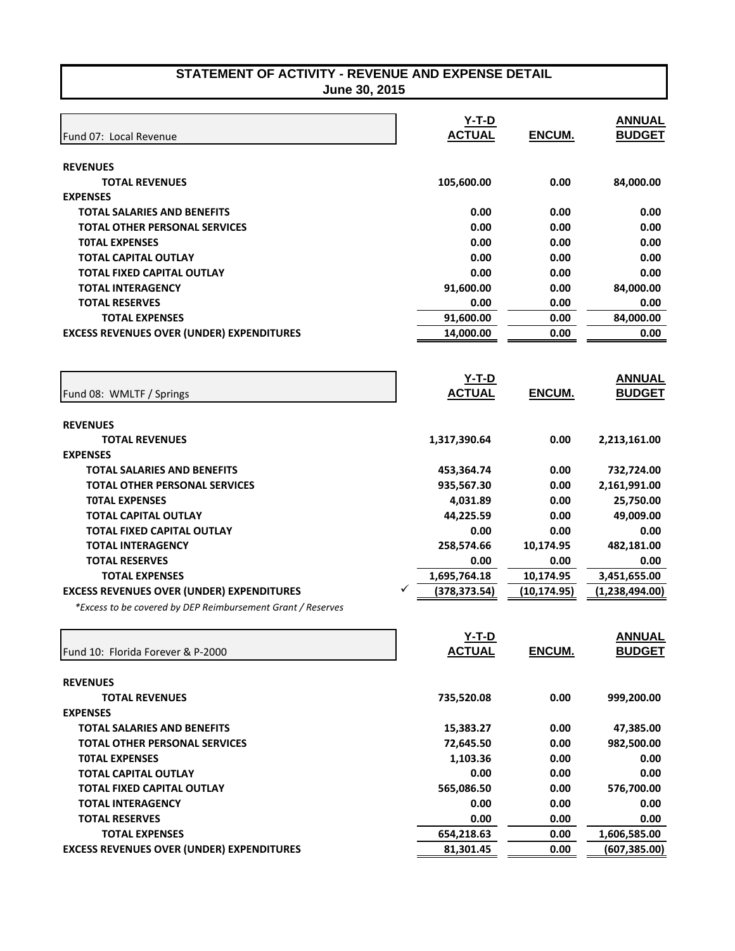|                                                               | $Y-T-D$           |               | <b>ANNUAL</b>     |
|---------------------------------------------------------------|-------------------|---------------|-------------------|
| Fund 07: Local Revenue                                        | <b>ACTUAL</b>     | ENCUM.        | <b>BUDGET</b>     |
|                                                               |                   |               |                   |
| <b>REVENUES</b>                                               |                   |               |                   |
| <b>TOTAL REVENUES</b>                                         | 105,600.00        | 0.00          | 84,000.00         |
| <b>EXPENSES</b>                                               |                   |               |                   |
| <b>TOTAL SALARIES AND BENEFITS</b>                            | 0.00              | 0.00          | 0.00              |
| <b>TOTAL OTHER PERSONAL SERVICES</b>                          | 0.00              | 0.00          | 0.00              |
| <b>TOTAL EXPENSES</b>                                         | 0.00              | 0.00          | 0.00              |
| <b>TOTAL CAPITAL OUTLAY</b>                                   | 0.00<br>0.00      | 0.00          | 0.00              |
| <b>TOTAL FIXED CAPITAL OUTLAY</b><br><b>TOTAL INTERAGENCY</b> |                   | 0.00          | 0.00              |
| <b>TOTAL RESERVES</b>                                         | 91,600.00<br>0.00 | 0.00<br>0.00  | 84,000.00<br>0.00 |
| <b>TOTAL EXPENSES</b>                                         | 91,600.00         | 0.00          | 84,000.00         |
|                                                               | 14,000.00         |               |                   |
| <b>EXCESS REVENUES OVER (UNDER) EXPENDITURES</b>              |                   | 0.00          | 0.00              |
|                                                               |                   |               |                   |
|                                                               | <u>Y-T-D</u>      |               | <b>ANNUAL</b>     |
| Fund 08: WMLTF / Springs                                      | <b>ACTUAL</b>     | <b>ENCUM.</b> | <b>BUDGET</b>     |
|                                                               |                   |               |                   |
| <b>REVENUES</b>                                               |                   |               |                   |
| <b>TOTAL REVENUES</b>                                         | 1,317,390.64      | 0.00          | 2,213,161.00      |
| <b>EXPENSES</b>                                               |                   |               |                   |
| <b>TOTAL SALARIES AND BENEFITS</b>                            | 453,364.74        | 0.00          | 732,724.00        |
| <b>TOTAL OTHER PERSONAL SERVICES</b>                          | 935,567.30        | 0.00          | 2,161,991.00      |
| <b>TOTAL EXPENSES</b>                                         | 4,031.89          | 0.00          | 25,750.00         |
| <b>TOTAL CAPITAL OUTLAY</b>                                   | 44,225.59         | 0.00          | 49,009.00         |
| <b>TOTAL FIXED CAPITAL OUTLAY</b>                             | 0.00              | 0.00          | 0.00              |
| <b>TOTAL INTERAGENCY</b>                                      | 258,574.66        | 10,174.95     | 482,181.00        |
| <b>TOTAL RESERVES</b>                                         | 0.00              | 0.00          | 0.00              |
| <b>TOTAL EXPENSES</b>                                         | 1,695,764.18      | 10,174.95     | 3,451,655.00      |
| <b>EXCESS REVENUES OVER (UNDER) EXPENDITURES</b>              | (378,373.54)      | (10, 174.95)  | (1,238,494.00)    |
| *Excess to be covered by DEP Reimbursement Grant / Reserves   |                   |               |                   |
|                                                               | Y-T-D             |               | <b>ANNUAL</b>     |
|                                                               | <b>ACTUAL</b>     | ENCUM.        | <b>BUDGET</b>     |
| Fund 10: Florida Forever & P-2000                             |                   |               |                   |
| <b>REVENUES</b>                                               |                   |               |                   |
| <b>TOTAL REVENUES</b>                                         | 735,520.08        | 0.00          | 999,200.00        |
| <b>EXPENSES</b>                                               |                   |               |                   |
| TOTAL SALARIES AND BENEFITS                                   | 15,383.27         | 0.00          | 47,385.00         |
| <b>TOTAL OTHER PERSONAL SERVICES</b>                          | 72,645.50         | 0.00          | 982,500.00        |
| <b>TOTAL EXPENSES</b>                                         | 1,103.36          | 0.00          | 0.00              |
| <b>TOTAL CAPITAL OUTLAY</b>                                   | 0.00              | 0.00          | 0.00              |
| <b>TOTAL FIXED CAPITAL OUTLAY</b>                             | 565,086.50        | 0.00          | 576,700.00        |
| <b>TOTAL INTERAGENCY</b>                                      | 0.00              | 0.00          | 0.00              |
| <b>TOTAL RESERVES</b>                                         | 0.00              | 0.00          | 0.00              |
| <b>TOTAL EXPENSES</b>                                         | 654,218.63        | 0.00          | 1,606,585.00      |
| <b>EXCESS REVENUES OVER (UNDER) EXPENDITURES</b>              | 81,301.45         | 0.00          | (607,385.00)      |
|                                                               |                   |               |                   |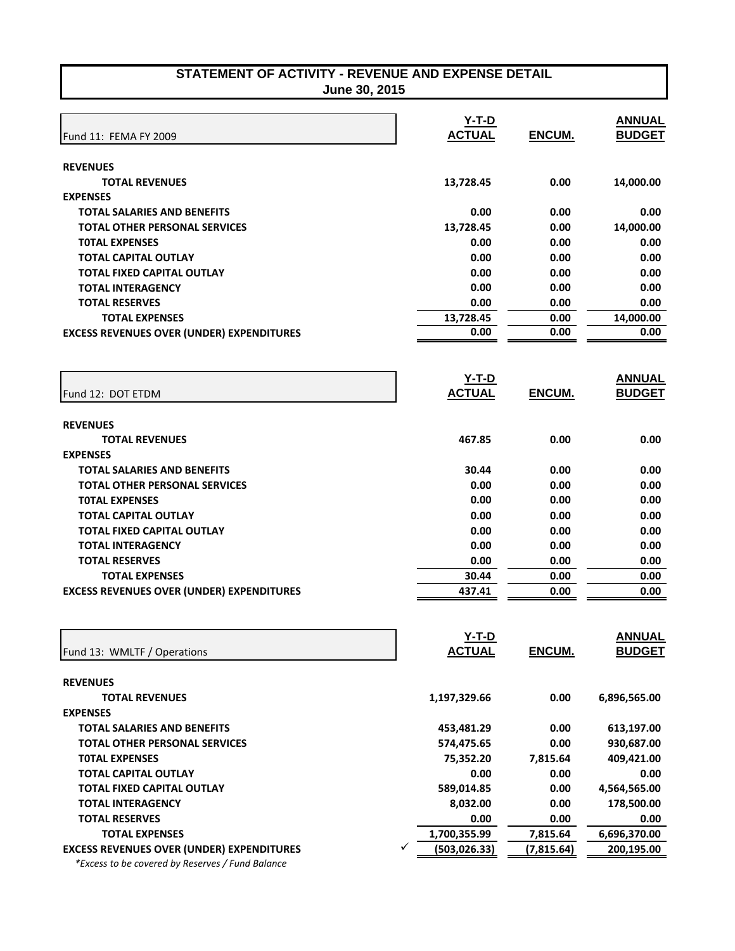| STATEMENT OF ACTIVITY - REVENUE AND EXPENSE DETAIL |               |  |
|----------------------------------------------------|---------------|--|
|                                                    | June 30, 2015 |  |

| June 30, 2015 |  |
|---------------|--|
|---------------|--|

|                                                  | $Y-T-D$            |               | <b>ANNUAL</b> |
|--------------------------------------------------|--------------------|---------------|---------------|
| Fund 11: FEMA FY 2009                            | <b>ACTUAL</b>      | ENCUM.        | <b>BUDGET</b> |
|                                                  |                    |               |               |
| <b>REVENUES</b>                                  |                    |               |               |
| <b>TOTAL REVENUES</b>                            | 13,728.45          | 0.00          | 14,000.00     |
| <b>EXPENSES</b>                                  |                    |               |               |
| <b>TOTAL SALARIES AND BENEFITS</b>               | 0.00               | 0.00          | 0.00          |
| <b>TOTAL OTHER PERSONAL SERVICES</b>             | 13,728.45          | 0.00          | 14,000.00     |
| <b>TOTAL EXPENSES</b>                            | 0.00               | 0.00          | 0.00          |
| <b>TOTAL CAPITAL OUTLAY</b>                      | 0.00               | 0.00          | 0.00          |
| <b>TOTAL FIXED CAPITAL OUTLAY</b>                | 0.00               | 0.00          | 0.00          |
| <b>TOTAL INTERAGENCY</b>                         | 0.00               | 0.00          | 0.00          |
| <b>TOTAL RESERVES</b>                            | 0.00               | 0.00          | 0.00          |
| <b>TOTAL EXPENSES</b>                            | 13,728.45          | 0.00          | 14,000.00     |
| <b>EXCESS REVENUES OVER (UNDER) EXPENDITURES</b> | 0.00               | 0.00          | 0.00          |
|                                                  |                    |               |               |
|                                                  | <u>Y-T-D</u>       |               | <b>ANNUAL</b> |
| Fund 12: DOT ETDM                                | <b>ACTUAL</b>      | <b>ENCUM.</b> | <b>BUDGET</b> |
|                                                  |                    |               |               |
| <b>REVENUES</b>                                  |                    |               |               |
| <b>TOTAL REVENUES</b>                            | 467.85             | 0.00          | 0.00          |
| <b>EXPENSES</b>                                  |                    |               |               |
| <b>TOTAL SALARIES AND BENEFITS</b>               | 30.44              | 0.00          | 0.00          |
| <b>TOTAL OTHER PERSONAL SERVICES</b>             | 0.00               | 0.00          | 0.00          |
| <b>TOTAL EXPENSES</b>                            | 0.00               | 0.00          | 0.00          |
| <b>TOTAL CAPITAL OUTLAY</b>                      | 0.00               | 0.00          | 0.00          |
| <b>TOTAL FIXED CAPITAL OUTLAY</b>                | 0.00               | 0.00          | 0.00          |
| <b>TOTAL INTERAGENCY</b>                         | 0.00               | 0.00          | 0.00          |
| <b>TOTAL RESERVES</b>                            | 0.00               | 0.00          | 0.00          |
| <b>TOTAL EXPENSES</b>                            | 30.44              | 0.00          | 0.00          |
| <b>EXCESS REVENUES OVER (UNDER) EXPENDITURES</b> | 437.41             | 0.00          | 0.00          |
|                                                  |                    |               |               |
|                                                  | Y-T-D              |               | <b>ANNUAL</b> |
|                                                  | <b>ACTUAL</b>      | ENCUM.        | <b>BUDGET</b> |
| Fund 13: WMLTF / Operations                      |                    |               |               |
| <b>REVENUES</b>                                  |                    |               |               |
| <b>TOTAL REVENUES</b>                            | 1,197,329.66       | 0.00          | 6,896,565.00  |
| <b>EXPENSES</b>                                  |                    |               |               |
| <b>TOTAL SALARIES AND BENEFITS</b>               | 453,481.29         | 0.00          | 613,197.00    |
| <b>TOTAL OTHER PERSONAL SERVICES</b>             | 574,475.65         | 0.00          | 930,687.00    |
| <b>TOTAL EXPENSES</b>                            | 75,352.20          | 7,815.64      | 409,421.00    |
| <b>TOTAL CAPITAL OUTLAY</b>                      | 0.00               | 0.00          | 0.00          |
| <b>TOTAL FIXED CAPITAL OUTLAY</b>                | 589,014.85         | 0.00          | 4,564,565.00  |
| <b>TOTAL INTERAGENCY</b>                         | 8,032.00           | 0.00          | 178,500.00    |
| <b>TOTAL RESERVES</b>                            | 0.00               | 0.00          | 0.00          |
| <b>TOTAL EXPENSES</b>                            | 1,700,355.99       | 7,815.64      | 6,696,370.00  |
| <b>EXCESS REVENUES OVER (UNDER) EXPENDITURES</b> | ✓<br>(503, 026.33) | (7, 815.64)   | 200,195.00    |
| *Excess to be covered by Reserves / Fund Balance |                    |               |               |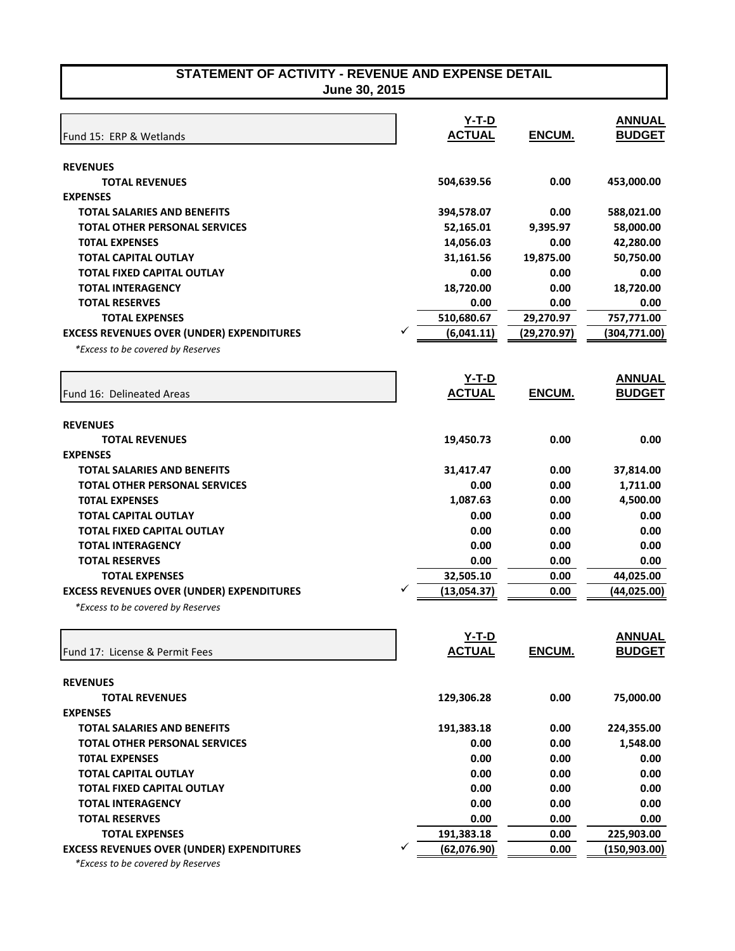|                                                  |   | $Y-T-D$       |              | <b>ANNUAL</b> |
|--------------------------------------------------|---|---------------|--------------|---------------|
| Fund 15: ERP & Wetlands                          |   | <b>ACTUAL</b> | ENCUM.       | <b>BUDGET</b> |
|                                                  |   |               |              |               |
| <b>REVENUES</b>                                  |   |               |              |               |
| <b>TOTAL REVENUES</b>                            |   | 504,639.56    | 0.00         | 453,000.00    |
| <b>EXPENSES</b>                                  |   |               |              |               |
| <b>TOTAL SALARIES AND BENEFITS</b>               |   | 394,578.07    | 0.00         | 588,021.00    |
| <b>TOTAL OTHER PERSONAL SERVICES</b>             |   | 52,165.01     | 9,395.97     | 58,000.00     |
| <b>TOTAL EXPENSES</b>                            |   | 14,056.03     | 0.00         | 42,280.00     |
| <b>TOTAL CAPITAL OUTLAY</b>                      |   | 31,161.56     | 19,875.00    | 50,750.00     |
| <b>TOTAL FIXED CAPITAL OUTLAY</b>                |   | 0.00          | 0.00         | 0.00          |
| <b>TOTAL INTERAGENCY</b>                         |   | 18,720.00     | 0.00         | 18,720.00     |
| <b>TOTAL RESERVES</b>                            |   | 0.00          | 0.00         | 0.00          |
| <b>TOTAL EXPENSES</b>                            |   | 510,680.67    | 29,270.97    | 757,771.00    |
| <b>EXCESS REVENUES OVER (UNDER) EXPENDITURES</b> |   | (6,041.11)    | (29, 270.97) | (304, 771.00) |
| *Excess to be covered by Reserves                |   |               |              |               |
|                                                  |   | <b>Y-T-D</b>  |              | <b>ANNUAL</b> |
| Fund 16: Delineated Areas                        |   | <b>ACTUAL</b> | ENCUM.       | <b>BUDGET</b> |
|                                                  |   |               |              |               |
| <b>REVENUES</b><br><b>TOTAL REVENUES</b>         |   | 19,450.73     | 0.00         | 0.00          |
| <b>EXPENSES</b>                                  |   |               |              |               |
| <b>TOTAL SALARIES AND BENEFITS</b>               |   | 31,417.47     | 0.00         | 37,814.00     |
| <b>TOTAL OTHER PERSONAL SERVICES</b>             |   | 0.00          | 0.00         | 1,711.00      |
| <b>TOTAL EXPENSES</b>                            |   | 1,087.63      | 0.00         | 4,500.00      |
| <b>TOTAL CAPITAL OUTLAY</b>                      |   | 0.00          | 0.00         | 0.00          |
| <b>TOTAL FIXED CAPITAL OUTLAY</b>                |   | 0.00          | 0.00         | 0.00          |
| <b>TOTAL INTERAGENCY</b>                         |   | 0.00          | 0.00         | 0.00          |
| <b>TOTAL RESERVES</b>                            |   | 0.00          | 0.00         | 0.00          |
| <b>TOTAL EXPENSES</b>                            |   | 32,505.10     | 0.00         | 44,025.00     |
| <b>EXCESS REVENUES OVER (UNDER) EXPENDITURES</b> |   | (13,054.37)   | 0.00         | (44, 025.00)  |
| *Excess to be covered by Reserves                |   |               |              |               |
|                                                  |   |               |              |               |
|                                                  |   | Y-T-D         |              | <b>ANNUAL</b> |
| Fund 17: License & Permit Fees                   |   | <b>ACTUAL</b> | ENCUM.       | <b>BUDGET</b> |
| <b>REVENUES</b>                                  |   |               |              |               |
| <b>TOTAL REVENUES</b>                            |   | 129,306.28    | 0.00         | 75,000.00     |
| <b>EXPENSES</b>                                  |   |               |              |               |
| <b>TOTAL SALARIES AND BENEFITS</b>               |   | 191,383.18    | 0.00         | 224,355.00    |
| <b>TOTAL OTHER PERSONAL SERVICES</b>             |   | 0.00          | 0.00         | 1,548.00      |
| <b>TOTAL EXPENSES</b>                            |   | 0.00          | 0.00         | 0.00          |
| <b>TOTAL CAPITAL OUTLAY</b>                      |   | 0.00          | 0.00         | 0.00          |
| <b>TOTAL FIXED CAPITAL OUTLAY</b>                |   | 0.00          | 0.00         | 0.00          |
| <b>TOTAL INTERAGENCY</b>                         |   | 0.00          | 0.00         | 0.00          |
| <b>TOTAL RESERVES</b>                            |   | 0.00          | 0.00         | 0.00          |
| <b>TOTAL EXPENSES</b>                            |   | 191,383.18    | 0.00         | 225,903.00    |
| <b>EXCESS REVENUES OVER (UNDER) EXPENDITURES</b> | ✓ | (62,076.90)   | 0.00         | (150, 903.00) |
| *Excess to be covered by Reserves                |   |               |              |               |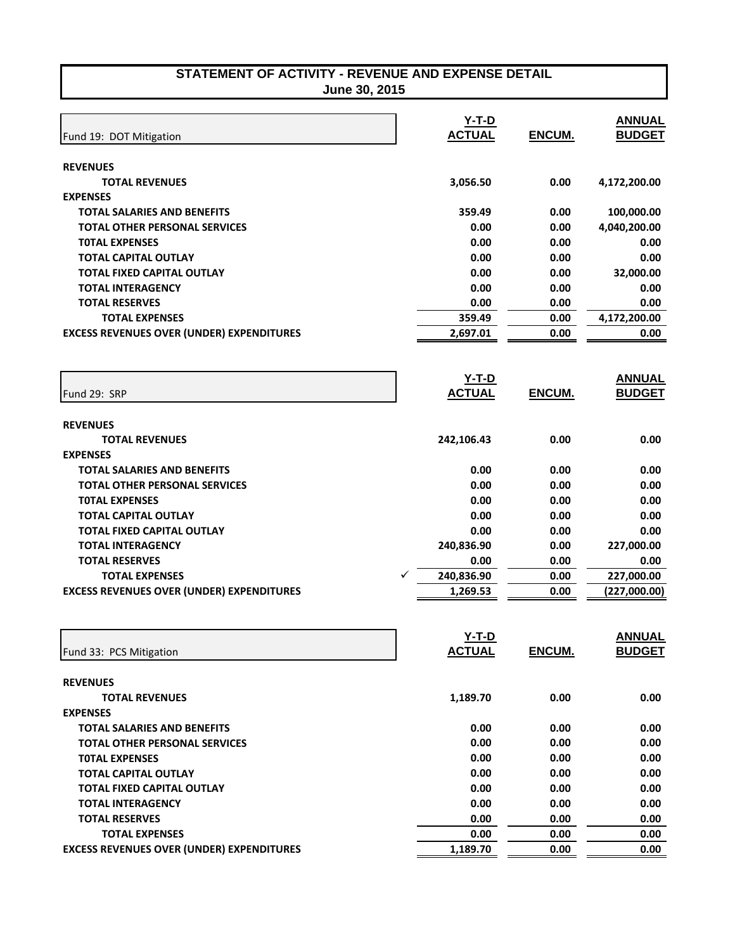|                                                  | $Y-T-D$       |               | <b>ANNUAL</b> |
|--------------------------------------------------|---------------|---------------|---------------|
| Fund 19: DOT Mitigation                          | <b>ACTUAL</b> | ENCUM.        | <b>BUDGET</b> |
|                                                  |               |               |               |
| <b>REVENUES</b><br><b>TOTAL REVENUES</b>         | 3,056.50      | 0.00          | 4,172,200.00  |
| <b>EXPENSES</b>                                  |               |               |               |
| <b>TOTAL SALARIES AND BENEFITS</b>               | 359.49        | 0.00          | 100,000.00    |
| <b>TOTAL OTHER PERSONAL SERVICES</b>             | 0.00          | 0.00          | 4,040,200.00  |
| <b>TOTAL EXPENSES</b>                            | 0.00          | 0.00          | 0.00          |
| <b>TOTAL CAPITAL OUTLAY</b>                      | 0.00          | 0.00          | 0.00          |
| <b>TOTAL FIXED CAPITAL OUTLAY</b>                | 0.00          | 0.00          | 32,000.00     |
| <b>TOTAL INTERAGENCY</b>                         | 0.00          | 0.00          | 0.00          |
| <b>TOTAL RESERVES</b>                            | 0.00          | 0.00          | 0.00          |
| <b>TOTAL EXPENSES</b>                            | 359.49        | 0.00          | 4,172,200.00  |
| <b>EXCESS REVENUES OVER (UNDER) EXPENDITURES</b> | 2,697.01      | 0.00          | 0.00          |
|                                                  |               |               |               |
|                                                  | $Y-T-D$       |               | <b>ANNUAL</b> |
| Fund 29: SRP                                     | <b>ACTUAL</b> | <b>ENCUM.</b> | <b>BUDGET</b> |
|                                                  |               |               |               |
| <b>REVENUES</b>                                  |               |               |               |
| <b>TOTAL REVENUES</b>                            | 242,106.43    | 0.00          | 0.00          |
| <b>EXPENSES</b>                                  |               |               |               |
| <b>TOTAL SALARIES AND BENEFITS</b>               | 0.00          | 0.00          | 0.00          |
| <b>TOTAL OTHER PERSONAL SERVICES</b>             | 0.00          | 0.00          | 0.00          |
| <b>TOTAL EXPENSES</b>                            | 0.00          | 0.00          | 0.00          |
| <b>TOTAL CAPITAL OUTLAY</b>                      | 0.00          | 0.00          | 0.00          |
| <b>TOTAL FIXED CAPITAL OUTLAY</b>                | 0.00          | 0.00          | 0.00          |
| <b>TOTAL INTERAGENCY</b>                         | 240,836.90    | 0.00          | 227,000.00    |
| <b>TOTAL RESERVES</b>                            | 0.00          | 0.00          | 0.00          |
| <b>TOTAL EXPENSES</b>                            | 240,836.90    | 0.00          | 227,000.00    |
| <b>EXCESS REVENUES OVER (UNDER) EXPENDITURES</b> | 1,269.53      | 0.00          | (227,000.00)  |
|                                                  |               |               |               |
|                                                  | Y-T-D         |               | <b>ANNUAL</b> |
| Fund 33: PCS Mitigation                          | <b>ACTUAL</b> | ENCUM.        | <b>BUDGET</b> |
|                                                  |               |               |               |
| <b>REVENUES</b>                                  |               |               |               |
| <b>TOTAL REVENUES</b>                            | 1,189.70      | 0.00          | 0.00          |
| <b>EXPENSES</b>                                  |               |               |               |
| <b>TOTAL SALARIES AND BENEFITS</b>               | 0.00          | 0.00          | 0.00          |
| <b>TOTAL OTHER PERSONAL SERVICES</b>             | 0.00          | 0.00          | 0.00          |
| <b>TOTAL EXPENSES</b>                            | 0.00          | 0.00          | 0.00          |
| <b>TOTAL CAPITAL OUTLAY</b>                      | 0.00          | 0.00          | 0.00          |
| <b>TOTAL FIXED CAPITAL OUTLAY</b>                | 0.00          | 0.00          | 0.00          |
| <b>TOTAL INTERAGENCY</b>                         | 0.00          | 0.00          | 0.00          |
| <b>TOTAL RESERVES</b>                            | 0.00          | 0.00          | 0.00          |
| <b>TOTAL EXPENSES</b>                            | 0.00          | 0.00          | 0.00          |
| <b>EXCESS REVENUES OVER (UNDER) EXPENDITURES</b> | 1,189.70      | 0.00          | 0.00          |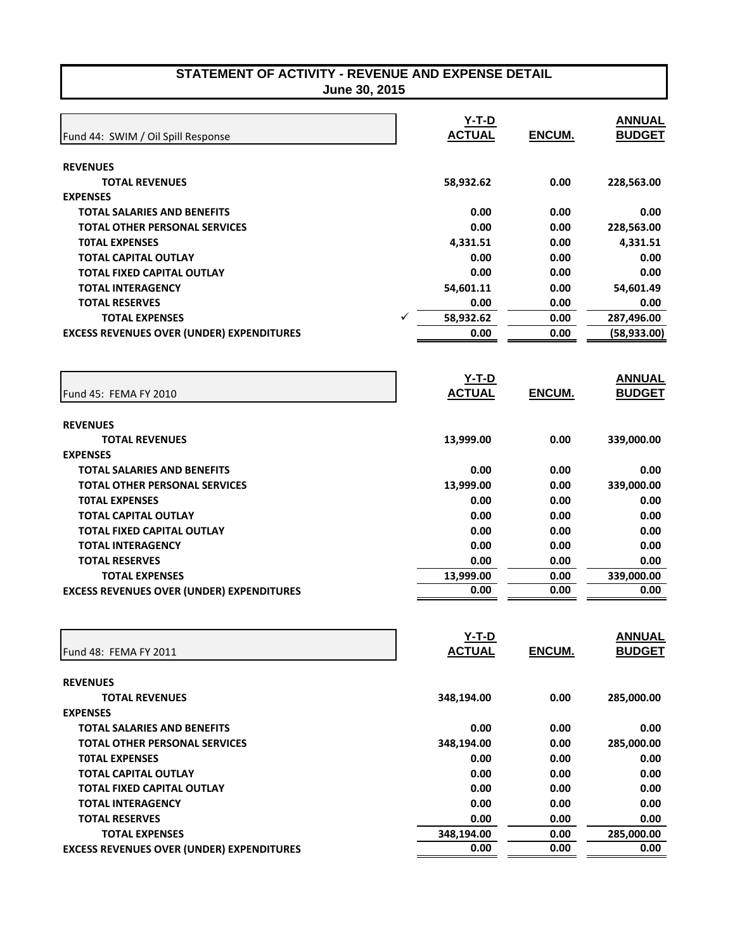| June 30, 2015 |
|---------------|
|---------------|

|                                                  |   | $Y-T-D$       |               | <b>ANNUAL</b> |
|--------------------------------------------------|---|---------------|---------------|---------------|
| Fund 44: SWIM / Oil Spill Response               |   | <b>ACTUAL</b> | <b>ENCUM.</b> | <b>BUDGET</b> |
| <b>REVENUES</b>                                  |   |               |               |               |
| <b>TOTAL REVENUES</b>                            |   | 58,932.62     | 0.00          | 228,563.00    |
| <b>EXPENSES</b>                                  |   |               |               |               |
| <b>TOTAL SALARIES AND BENEFITS</b>               |   | 0.00          | 0.00          | 0.00          |
| <b>TOTAL OTHER PERSONAL SERVICES</b>             |   | 0.00          | 0.00          | 228,563.00    |
| <b>TOTAL EXPENSES</b>                            |   | 4,331.51      | 0.00          | 4,331.51      |
| <b>TOTAL CAPITAL OUTLAY</b>                      |   | 0.00          | 0.00          | 0.00          |
| <b>TOTAL FIXED CAPITAL OUTLAY</b>                |   | 0.00          | 0.00          | 0.00          |
| <b>TOTAL INTERAGENCY</b>                         |   | 54,601.11     | 0.00          | 54,601.49     |
| <b>TOTAL RESERVES</b>                            |   | 0.00          | 0.00          | 0.00          |
| <b>TOTAL EXPENSES</b>                            | ✓ | 58,932.62     | 0.00          | 287,496.00    |
| <b>EXCESS REVENUES OVER (UNDER) EXPENDITURES</b> |   | 0.00          | 0.00          | (58, 933.00)  |
|                                                  |   |               |               |               |
|                                                  |   | $Y-T-D$       |               | <b>ANNUAL</b> |
| Fund 45: FEMA FY 2010                            |   | <b>ACTUAL</b> | <b>ENCUM.</b> | <b>BUDGET</b> |
|                                                  |   |               |               |               |
| <b>REVENUES</b>                                  |   |               |               |               |
| <b>TOTAL REVENUES</b>                            |   | 13,999.00     | 0.00          | 339,000.00    |
| <b>EXPENSES</b>                                  |   |               |               |               |
| <b>TOTAL SALARIES AND BENEFITS</b>               |   | 0.00          | 0.00          | 0.00          |
| <b>TOTAL OTHER PERSONAL SERVICES</b>             |   | 13,999.00     | 0.00          | 339,000.00    |
| <b>TOTAL EXPENSES</b>                            |   | 0.00          | 0.00          | 0.00          |
| <b>TOTAL CAPITAL OUTLAY</b>                      |   | 0.00          | 0.00          | 0.00          |
| <b>TOTAL FIXED CAPITAL OUTLAY</b>                |   | 0.00          | 0.00          | 0.00          |
| <b>TOTAL INTERAGENCY</b>                         |   | 0.00          | 0.00          | 0.00          |
| <b>TOTAL RESERVES</b>                            |   | 0.00          | 0.00          | 0.00          |
| <b>TOTAL EXPENSES</b>                            |   | 13,999.00     | 0.00          | 339,000.00    |
| <b>EXCESS REVENUES OVER (UNDER) EXPENDITURES</b> |   | 0.00          | 0.00          | 0.00          |
|                                                  |   |               |               |               |
|                                                  |   | $Y-T-D$       |               | <b>ANNUAL</b> |
| Fund 48: FEMA FY 2011                            |   | <b>ACTUAL</b> | ENCUM.        | <b>BUDGET</b> |
|                                                  |   |               |               |               |
| <b>REVENUES</b>                                  |   |               |               |               |
| <b>TOTAL REVENUES</b><br><b>EXPENSES</b>         |   | 348,194.00    | 0.00          | 285,000.00    |
| <b>TOTAL SALARIES AND BENEFITS</b>               |   | 0.00          | 0.00          | 0.00          |
| <b>TOTAL OTHER PERSONAL SERVICES</b>             |   | 348,194.00    | 0.00          | 285,000.00    |
| <b>TOTAL EXPENSES</b>                            |   | 0.00          | 0.00          | 0.00          |
| <b>TOTAL CAPITAL OUTLAY</b>                      |   | 0.00          | 0.00          | 0.00          |
| <b>TOTAL FIXED CAPITAL OUTLAY</b>                |   | 0.00          | 0.00          | 0.00          |
| <b>TOTAL INTERAGENCY</b>                         |   | 0.00          | 0.00          | 0.00          |
| <b>TOTAL RESERVES</b>                            |   | 0.00          | 0.00          | 0.00          |
| <b>TOTAL EXPENSES</b>                            |   | 348,194.00    | 0.00          | 285,000.00    |
| <b>EXCESS REVENUES OVER (UNDER) EXPENDITURES</b> |   | 0.00          | 0.00          | 0.00          |
|                                                  |   |               |               |               |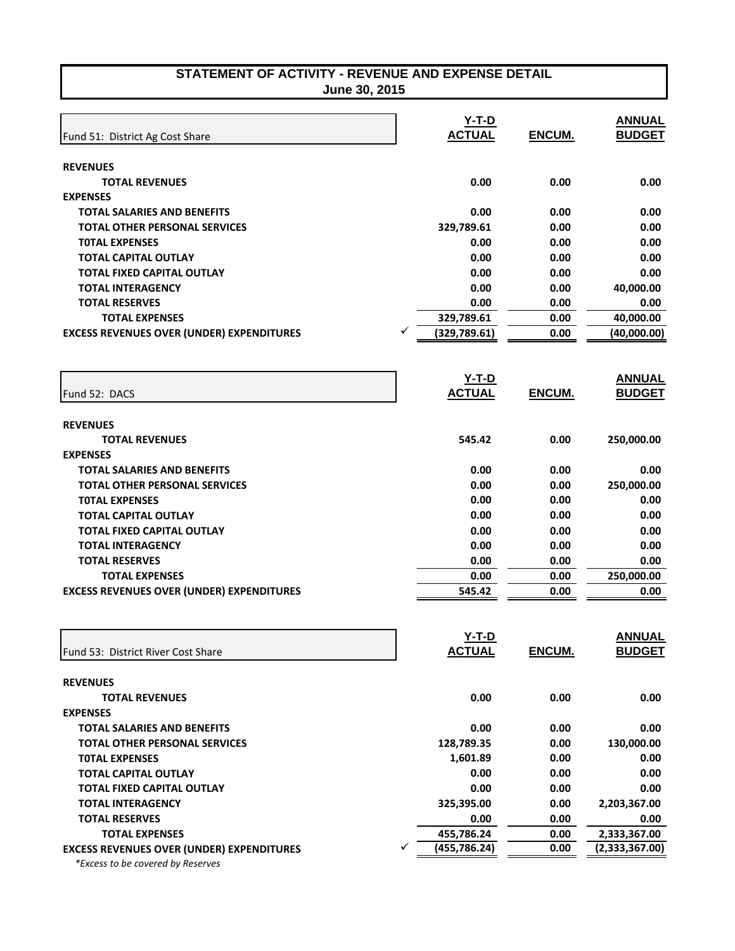| STATEMENT OF ACTIVITY - REVENUE AND EXPENSE DETAIL |  |
|----------------------------------------------------|--|
| June 30, 2015.                                     |  |

| June 30, 2015 |  |
|---------------|--|
|---------------|--|

|                                                  | $Y-T-D$            |               | <b>ANNUAL</b>  |
|--------------------------------------------------|--------------------|---------------|----------------|
| Fund 51: District Ag Cost Share                  | <b>ACTUAL</b>      | ENCUM.        | <b>BUDGET</b>  |
|                                                  |                    |               |                |
| <b>REVENUES</b>                                  |                    |               |                |
| <b>TOTAL REVENUES</b>                            | 0.00               | 0.00          | 0.00           |
| <b>EXPENSES</b>                                  |                    |               |                |
| <b>TOTAL SALARIES AND BENEFITS</b>               | 0.00               | 0.00          | 0.00           |
| <b>TOTAL OTHER PERSONAL SERVICES</b>             | 329,789.61         | 0.00          | 0.00           |
| <b>TOTAL EXPENSES</b>                            | 0.00               | 0.00          | 0.00           |
| <b>TOTAL CAPITAL OUTLAY</b>                      | 0.00               | 0.00          | 0.00           |
| <b>TOTAL FIXED CAPITAL OUTLAY</b>                | 0.00               | 0.00          | 0.00           |
| <b>TOTAL INTERAGENCY</b>                         | 0.00               | 0.00          | 40,000.00      |
| <b>TOTAL RESERVES</b>                            | 0.00               | 0.00          | 0.00           |
| <b>TOTAL EXPENSES</b>                            | 329,789.61         | 0.00          | 40,000.00      |
| <b>EXCESS REVENUES OVER (UNDER) EXPENDITURES</b> | ✓<br>(329, 789.61) | 0.00          | (40,000.00)    |
|                                                  |                    |               |                |
|                                                  | $Y-T-D$            |               | <b>ANNUAL</b>  |
| Fund 52: DACS                                    | <b>ACTUAL</b>      | <b>ENCUM.</b> | <b>BUDGET</b>  |
|                                                  |                    |               |                |
| <b>REVENUES</b>                                  |                    |               |                |
| <b>TOTAL REVENUES</b>                            | 545.42             | 0.00          | 250,000.00     |
| <b>EXPENSES</b>                                  |                    |               |                |
| <b>TOTAL SALARIES AND BENEFITS</b>               | 0.00               | 0.00          | 0.00           |
| <b>TOTAL OTHER PERSONAL SERVICES</b>             | 0.00               | 0.00          | 250,000.00     |
| <b>TOTAL EXPENSES</b>                            | 0.00               | 0.00          | 0.00           |
| <b>TOTAL CAPITAL OUTLAY</b>                      | 0.00               | 0.00          | 0.00           |
| <b>TOTAL FIXED CAPITAL OUTLAY</b>                | 0.00               | 0.00          | 0.00           |
| <b>TOTAL INTERAGENCY</b>                         | 0.00               | 0.00          | 0.00           |
| <b>TOTAL RESERVES</b>                            | 0.00               | 0.00          | 0.00           |
| <b>TOTAL EXPENSES</b>                            | 0.00               | 0.00          | 250,000.00     |
| <b>EXCESS REVENUES OVER (UNDER) EXPENDITURES</b> | 545.42             | 0.00          | 0.00           |
|                                                  |                    |               |                |
|                                                  |                    |               |                |
|                                                  | Y-T-D              |               | <b>ANNUAL</b>  |
| Fund 53: District River Cost Share               | <u>ACTUAL</u>      | ENCUM.        | <b>BUDGET</b>  |
| <b>REVENUES</b>                                  |                    |               |                |
| <b>TOTAL REVENUES</b>                            | 0.00               | 0.00          | 0.00           |
| <b>EXPENSES</b>                                  |                    |               |                |
| <b>TOTAL SALARIES AND BENEFITS</b>               | 0.00               | 0.00          | 0.00           |
| <b>TOTAL OTHER PERSONAL SERVICES</b>             | 128,789.35         | 0.00          | 130,000.00     |
| <b>TOTAL EXPENSES</b>                            | 1,601.89           | 0.00          | 0.00           |
| <b>TOTAL CAPITAL OUTLAY</b>                      | 0.00               | 0.00          | 0.00           |
| <b>TOTAL FIXED CAPITAL OUTLAY</b>                | 0.00               | 0.00          | 0.00           |
| <b>TOTAL INTERAGENCY</b>                         | 325,395.00         | 0.00          | 2,203,367.00   |
| <b>TOTAL RESERVES</b>                            | 0.00               | 0.00          | 0.00           |
| <b>TOTAL EXPENSES</b>                            | 455,786.24         | 0.00          | 2,333,367.00   |
| <b>EXCESS REVENUES OVER (UNDER) EXPENDITURES</b> | (455, 786.24)<br>✓ | 0.00          | (2,333,367.00) |
| *Excess to be covered by Reserves                |                    |               |                |